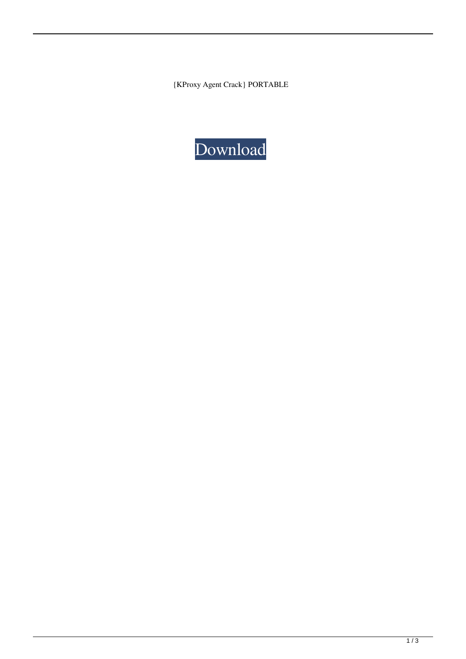{KProxy Agent Crack} PORTABLE

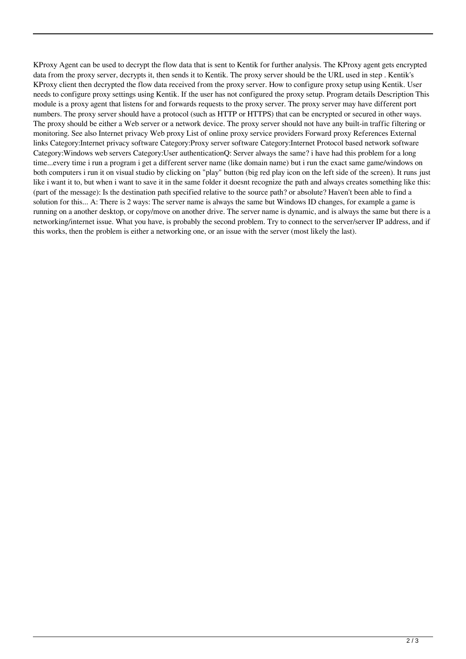KProxy Agent can be used to decrypt the flow data that is sent to Kentik for further analysis. The KProxy agent gets encrypted data from the proxy server, decrypts it, then sends it to Kentik. The proxy server should be the URL used in step . Kentik's KProxy client then decrypted the flow data received from the proxy server. How to configure proxy setup using Kentik. User needs to configure proxy settings using Kentik. If the user has not configured the proxy setup. Program details Description This module is a proxy agent that listens for and forwards requests to the proxy server. The proxy server may have different port numbers. The proxy server should have a protocol (such as HTTP or HTTPS) that can be encrypted or secured in other ways. The proxy should be either a Web server or a network device. The proxy server should not have any built-in traffic filtering or monitoring. See also Internet privacy Web proxy List of online proxy service providers Forward proxy References External links Category:Internet privacy software Category:Proxy server software Category:Internet Protocol based network software Category:Windows web servers Category:User authenticationQ: Server always the same? i have had this problem for a long time...every time i run a program i get a different server name (like domain name) but i run the exact same game/windows on both computers i run it on visual studio by clicking on "play" button (big red play icon on the left side of the screen). It runs just like i want it to, but when i want to save it in the same folder it doesnt recognize the path and always creates something like this: (part of the message): Is the destination path specified relative to the source path? or absolute? Haven't been able to find a solution for this... A: There is 2 ways: The server name is always the same but Windows ID changes, for example a game is running on a another desktop, or copy/move on another drive. The server name is dynamic, and is always the same but there is a networking/internet issue. What you have, is probably the second problem. Try to connect to the server/server IP address, and if this works, then the problem is either a networking one, or an issue with the server (most likely the last).